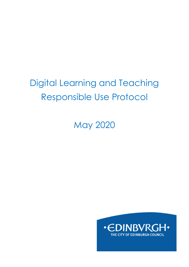# Digital Learning and Teaching Responsible Use Protocol

May 2020

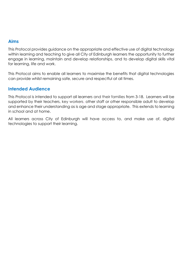#### **Aims**

This Protocol provides guidance on the appropriate and effective use of digital technology within learning and teaching to give all City of Edinburgh learners the opportunity to further engage in learning, maintain and develop relationships, and to develop digital skills vital for learning, life and work.

This Protocol aims to enable all learners to maximise the benefits that digital technologies can provide whilst remaining safe, secure and respectful at all times.

#### **Intended Audience**

This Protocol is intended to support all learners and their families from 3-18. Learners will be supported by their teachers, key workers, other staff or other responsible adult to develop and enhance their understanding as is age and stage appropriate. This extends to learning in school and at home.

All learners across City of Edinburgh will have access to, and make use of, digital technologies to support their learning.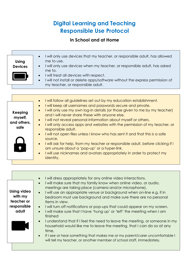## **Digital Learning and Teaching Responsible Use Protocol**

### **In School and at Home**

| <b>Using</b><br><b>Devices</b>                                      | I will only use devices that my teacher, or responsible adult, has allowed<br>$\bullet$<br>me to use.<br>I will only use devices when my teacher, or responsible adult, has asked<br>me to.<br>I will treat all devices with respect.<br>I will not install or delete apps/software without the express permission of<br>my teacher, or responsible adult.                                                                                                                                                                                                                                                                                                                                                                                                                                       |
|---------------------------------------------------------------------|--------------------------------------------------------------------------------------------------------------------------------------------------------------------------------------------------------------------------------------------------------------------------------------------------------------------------------------------------------------------------------------------------------------------------------------------------------------------------------------------------------------------------------------------------------------------------------------------------------------------------------------------------------------------------------------------------------------------------------------------------------------------------------------------------|
|                                                                     |                                                                                                                                                                                                                                                                                                                                                                                                                                                                                                                                                                                                                                                                                                                                                                                                  |
| <b>Keeping</b><br>myself,<br>and others,<br>safe                    | I will follow all guidelines set out by my education establishment.<br>I will keep all usernames and passwords secure and private.<br>I will only use my own log-in details (or those given to me by my teacher)<br>and I will never share these with anyone else.<br>I will not reveal personal information about myself or others.<br>I will only access apps and websites with the permission of my teacher, or<br>responsible adult.<br>I will not open files unless I know who has sent it and that this is a safe<br>source.<br>I will ask for help, from my teacher or responsible adult, before clicking if I<br>am unsure about a 'pop-up' or a hyper-link.<br>I will use nicknames and avatars appropriately in order to protect my<br>identity.                                       |
|                                                                     |                                                                                                                                                                                                                                                                                                                                                                                                                                                                                                                                                                                                                                                                                                                                                                                                  |
|                                                                     | I will dress appropriately for any online video interactions.                                                                                                                                                                                                                                                                                                                                                                                                                                                                                                                                                                                                                                                                                                                                    |
| <b>Using video</b><br>with my<br>teacher or<br>responsible<br>adult | I will make sure that my family know when online video, or audio,<br>$\bullet$<br>meetings are taking place (camera and/or microphone).<br>I will use an appropriate venue or background when on-line e.g. if in<br>bedroom must use background and make sure there are no personal<br>items in view.<br>I will turn off notifications or pop-ups that could appear on my screen.<br>I will make sure that I have 'hung up' or 'left' the meeting when I am<br>finished<br>I understand that if I feel the need to leave the meeting, or someone in my<br>household would like me to leave the meeting, that I can do so at any<br>time.<br>If I see or hear something that makes me or my parent/carer uncomfortable I<br>will tell my teacher, or another member of school staff, immediately. |